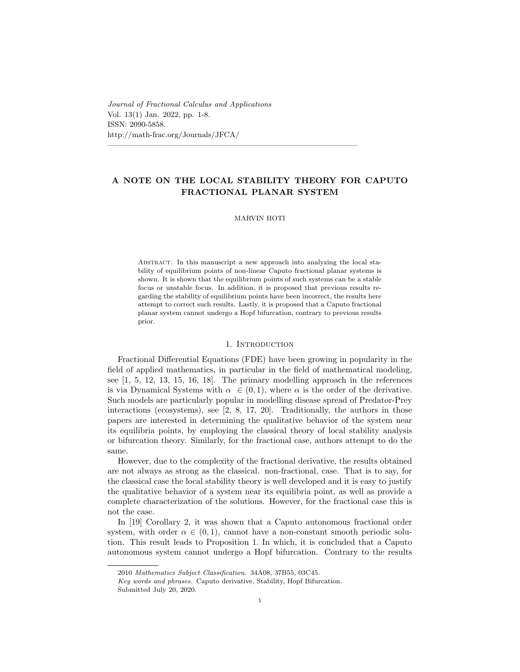*Journal of Fractional Calculus and Applications* Vol. 13(1) Jan. 2022, pp. 1-8. ISSN: 2090-5858. http://math-frac.org/Journals/JFCA/

# **A NOTE ON THE LOCAL STABILITY THEORY FOR CAPUTO FRACTIONAL PLANAR SYSTEM**

————————————————————————————————

# MARVIN HOTI

ABSTRACT. In this manuscript a new approach into analyzing the local stability of equilibrium points of non-linear Caputo fractional planar systems is shown. It is shown that the equilibrium points of such systems can be a stable focus or unstable focus. In addition, it is proposed that previous results regarding the stability of equilibrium points have been incorrect, the results here attempt to correct such results. Lastly, it is proposed that a Caputo fractional planar system cannot undergo a Hopf bifurcation, contrary to previous results prior.

### 1. Introduction

Fractional Differential Equations (FDE) have been growing in popularity in the field of applied mathematics, in particular in the field of mathematical modeling, see [1, 5, 12, 13, 15, 16, 18]. The primary modelling approach in the references is via Dynamical Systems with  $\alpha \in (0,1)$ , where  $\alpha$  is the order of the derivative. Such models are particularly popular in modelling disease spread of Predator-Prey interactions (ecosystems), see [2, 8, 17, 20]. Traditionally, the authors in those papers are interested in determining the qualitative behavior of the system near its equilibria points, by employing the classical theory of local stability analysis or bifurcation theory. Similarly, for the fractional case, authors attempt to do the same.

However, due to the complexity of the fractional derivative, the results obtained are not always as strong as the classical. non-fractional, case. That is to say, for the classical case the local stability theory is well developed and it is easy to justify the qualitative behavior of a system near its equilibria point, as well as provide a complete characterization of the solutions. However, for the fractional case this is not the case.

In [19] Corollary 2, it was shown that a Caputo autonomous fractional order system, with order  $\alpha \in (0,1)$ , cannot have a non-constant smooth periodic solution. This result leads to Proposition 1*.* In which, it is concluded that a Caputo autonomous system cannot undergo a Hopf bifurcation. Contrary to the results

<sup>2010</sup> *Mathematics Subject Classification.* 34A08, 37B55, 03C45.

*Key words and phrases.* Caputo derivative, Stability, Hopf Bifurcation.

Submitted July 20, 2020.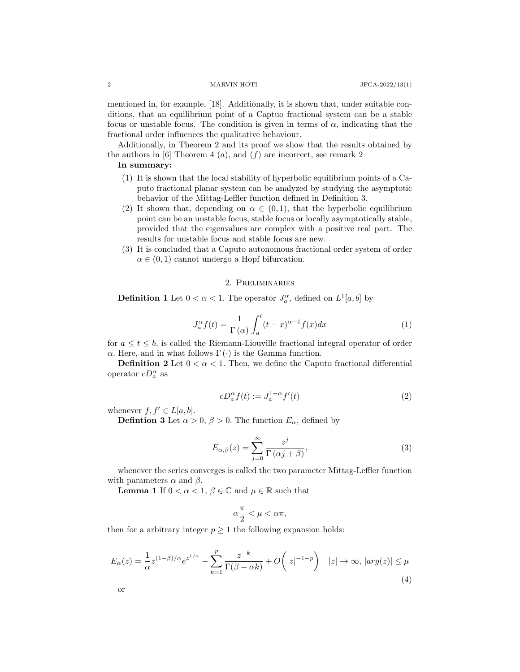mentioned in, for example, [18]. Additionally, it is shown that, under suitable conditions, that an equilibrium point of a Captuo fractional system can be a stable focus or unstable focus. The condition is given in terms of  $\alpha$ , indicating that the fractional order influences the qualitative behaviour.

Additionally, in Theorem 2 and its proof we show that the results obtained by the authors in [6] Theorem 4  $(a)$ , and  $(f)$  are incorrect, see remark 2

# **In summary:**

- (1) It is shown that the local stability of hyperbolic equilibrium points of a Caputo fractional planar system can be analyzed by studying the asymptotic behavior of the Mittag-Leffler function defined in Definition 3.
- (2) It shown that, depending on  $\alpha \in (0,1)$ , that the hyperbolic equilibrium point can be an unstable focus, stable focus or locally asymptotically stable, provided that the eigenvalues are complex with a positive real part. The results for unstable focus and stable focus are new.
- (3) It is concluded that a Caputo autonomous fractional order system of order  $\alpha \in (0,1)$  cannot undergo a Hopf bifurcation.

# 2. Preliminaries

**Definition 1** Let  $0 < \alpha < 1$ . The operator  $J_a^{\alpha}$ , defined on  $L^1[a, b]$  by

$$
J_a^{\alpha} f(t) = \frac{1}{\Gamma(\alpha)} \int_a^t (t - x)^{\alpha - 1} f(x) dx \tag{1}
$$

for  $a \leq t \leq b$ , is called the Riemann-Liouville fractional integral operator of order *α*. Here, and in what follows  $Γ(·)$  is the Gamma function.

**Definition 2** Let  $0 < \alpha < 1$ . Then, we define the Caputo fractional differential operator  $cD_a^{\alpha}$  as

$$
cD_a^{\alpha}f(t) := J_a^{1-\alpha}f'(t)
$$
\n<sup>(2)</sup>

whenever  $f, f' \in L[a, b]$ .

**Defintion 3** Let  $\alpha > 0$ ,  $\beta > 0$ . The function  $E_{\alpha}$ , defined by

$$
E_{\alpha,\beta}(z) = \sum_{j=0}^{\infty} \frac{z^j}{\Gamma(\alpha j + \beta)},
$$
\n(3)

whenever the series converges is called the two parameter Mittag-Leffler function with parameters  $\alpha$  and  $\beta$ .

**Lemma 1** If  $0 < \alpha < 1$ ,  $\beta \in \mathbb{C}$  and  $\mu \in \mathbb{R}$  such that

$$
\alpha\frac{\pi}{2}<\mu<\alpha\pi,
$$

then for a arbitrary integer  $p \geq 1$  the following expansion holds:

$$
E_{\alpha}(z) = \frac{1}{\alpha} z^{(1-\beta)/\alpha} e^{z^{1/\alpha}} - \sum_{k=1}^{p} \frac{z^{-k}}{\Gamma(\beta - \alpha k)} + O(|z|^{-1-p}) \quad |z| \to \infty, \, |arg(z)| \le \mu
$$
\n
$$
\tag{4}
$$

or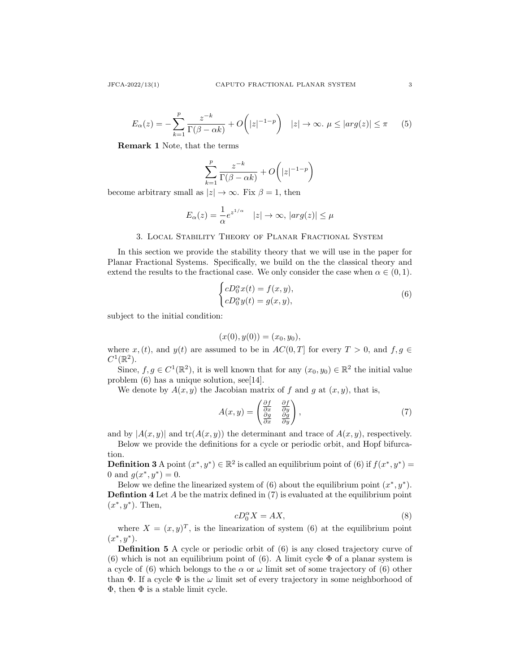$$
E_{\alpha}(z) = -\sum_{k=1}^{p} \frac{z^{-k}}{\Gamma(\beta - \alpha k)} + O\left(|z|^{-1-p}\right) \quad |z| \to \infty. \ \mu \le |arg(z)| \le \pi \tag{5}
$$

**Remark 1** Note, that the terms

$$
\sum_{k=1}^{p} \frac{z^{-k}}{\Gamma(\beta - \alpha k)} + O\bigg(|z|^{-1-p}\bigg)
$$

become arbitrary small as  $|z| \to \infty$ . Fix  $\beta = 1$ , then

$$
E_{\alpha}(z) = \frac{1}{\alpha} e^{z^{1/\alpha}} \quad |z| \to \infty, \, |arg(z)| \le \mu
$$

# 3. Local Stability Theory of Planar Fractional System

In this section we provide the stability theory that we will use in the paper for Planar Fractional Systems. Specifically, we build on the the classical theory and extend the results to the fractional case. We only consider the case when  $\alpha \in (0,1)$ *.* 

$$
\begin{cases} cD_0^{\alpha}x(t) = f(x, y), \\ cD_0^{\alpha}y(t) = g(x, y), \end{cases}
$$
 (6)

subject to the initial condition:

$$
(x(0), y(0)) = (x_0, y_0),
$$

where  $x, (t)$ , and  $y(t)$  are assumed to be in  $AC(0, T]$  for every  $T > 0$ , and  $f, g \in$  $C^1(\mathbb{R}^2)$ .

Since,  $f, g \in C^1(\mathbb{R}^2)$ , it is well known that for any  $(x_0, y_0) \in \mathbb{R}^2$  the initial value problem (6) has a unique solution, see[14].

We denote by  $A(x, y)$  the Jacobian matrix of  $f$  and  $g$  at  $(x, y)$ , that is,

$$
A(x,y) = \begin{pmatrix} \frac{\partial f}{\partial x} & \frac{\partial f}{\partial y} \\ \frac{\partial g}{\partial x} & \frac{\partial g}{\partial y} \end{pmatrix},\tag{7}
$$

and by  $|A(x, y)|$  and  $tr(A(x, y))$  the determinant and trace of  $A(x, y)$ , respectively.

Below we provide the definitions for a cycle or periodic orbit, and Hopf bifurcation.

**Definition 3** A point  $(x^*, y^*) \in \mathbb{R}^2$  is called an equilibrium point of (6) if  $f(x^*, y^*) =$ 0 and  $g(x^*, y^*) = 0$ .

Below we define the linearized system of (6) about the equilibrium point  $(x^*, y^*)$ . **Defintion 4** Let *A* be the matrix defined in (7) is evaluated at the equilibrium point  $(x^*, y^*)$ . Then,

$$
cD_0^{\alpha}X = AX,\t\t(8)
$$

where  $X = (x, y)^T$ , is the linearization of system (6) at the equilibrium point  $(x^*, y^*).$ 

**Definition 5** A cycle or periodic orbit of  $(6)$  is any closed trajectory curve of (6) which is not an equilibrium point of (6). A limit cycle  $\Phi$  of a planar system is a cycle of (6) which belongs to the  $\alpha$  or  $\omega$  limit set of some trajectory of (6) other than  $\Phi$ . If a cycle  $\Phi$  is the  $\omega$  limit set of every trajectory in some neighborhood of Φ*,* then Φ is a stable limit cycle.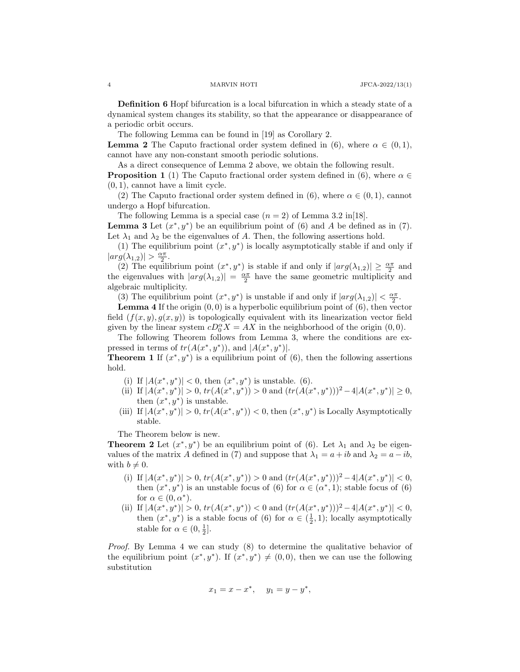**Definition 6** Hopf bifurcation is a local bifurcation in which a steady state of a dynamical system changes its stability, so that the appearance or disappearance of a periodic orbit occurs.

The following Lemma can be found in [19] as Corollary 2*.*

**Lemma 2** The Caputo fractional order system defined in (6), where  $\alpha \in (0,1)$ , cannot have any non-constant smooth periodic solutions.

As a direct consequence of Lemma 2 above, we obtain the following result.

**Proposition 1** (1) The Caputo fractional order system defined in (6), where  $\alpha \in$ (0*,* 1)*,* cannot have a limit cycle.

(2) The Caputo fractional order system defined in (6), where  $\alpha \in (0,1)$ , cannot undergo a Hopf bifurcation.

The following Lemma is a special case  $(n = 2)$  of Lemma 3.2 in [18].

**Lemma 3** Let  $(x^*, y^*)$  be an equilibrium point of (6) and *A* be defined as in (7). Let  $\lambda_1$  and  $\lambda_2$  be the eigenvalues of A. Then, the following assertions hold.

(1) The equilibrium point  $(x^*, y^*)$  is locally asymptotically stable if and only if  $|arg(\lambda_{1,2})| > \frac{\alpha \pi}{2}.$ 

(2) The equilibrium point  $(x^*, y^*)$  is stable if and only if  $|arg(\lambda_{1,2})| \geq \frac{\alpha \pi}{2}$  and the eigenvalues with  $|arg(\lambda_{1,2})| = \frac{\alpha \pi}{2}$  have the same geometric multiplicity and algebraic multiplicity.

(3) The equilibrium point  $(x^*, y^*)$  is unstable if and only if  $|arg(\lambda_{1,2})| < \frac{\alpha \pi}{2}$ .

**Lemma 4** If the origin (0*,* 0) is a hyperbolic equilibrium point of (6), then vector field  $(f(x, y), g(x, y))$  is topologically equivalent with its linearization vector field given by the linear system  $cD_0^{\alpha}X = AX$  in the neighborhood of the origin  $(0,0)$ .

The following Theorem follows from Lemma 3, where the conditions are expressed in terms of  $tr(A(x^*, y^*))$ , and  $|A(x^*, y^*)|$ .

**Theorem 1** If  $(x^*, y^*)$  is a equilibrium point of (6), then the following assertions hold.

- (i) If  $|A(x^*, y^*)| < 0$ , then  $(x^*, y^*)$  is unstable. (6).
- (ii) If  $|A(x^*, y^*)| > 0$ ,  $tr(A(x^*, y^*)) > 0$  and  $(tr(A(x^*, y^*))^2 4|A(x^*, y^*)| \ge 0$ , then  $(x^*, y^*)$  is unstable.
- (iii) If  $|A(x^*, y^*)| > 0$ ,  $tr(A(x^*, y^*)) < 0$ , then  $(x^*, y^*)$  is Locally Asymptotically stable.

The Theorem below is new.

**Theorem 2** Let  $(x^*, y^*)$  be an equilibrium point of (6). Let  $\lambda_1$  and  $\lambda_2$  be eigenvalues of the matrix *A* defined in (7) and suppose that  $\lambda_1 = a + ib$  and  $\lambda_2 = a - ib$ , with  $b \neq 0$ .

- (i) If  $|A(x^*, y^*)| > 0$ ,  $tr(A(x^*, y^*)) > 0$  and  $(tr(A(x^*, y^*)))^2 4|A(x^*, y^*)| < 0$ , then  $(x^*, y^*)$  is an unstable focus of (6) for  $\alpha \in (\alpha^*, 1)$ ; stable focus of (6) for  $\alpha \in (0, \alpha^*)$ .
- (ii) If  $|A(x^*, y^*)| > 0$ ,  $tr(A(x^*, y^*)) < 0$  and  $(tr(A(x^*, y^*))^2 4|A(x^*, y^*)| < 0$ , then  $(x^*, y^*)$  is a stable focus of (6) for  $\alpha \in (\frac{1}{2}, 1)$ ; locally asymptotically stable for  $\alpha \in (0, \frac{1}{2}]$ .

*Proof.* By Lemma 4 we can study (8) to determine the qualitative behavior of the equilibrium point  $(x^*, y^*)$ . If  $(x^*, y^*) \neq (0,0)$ , then we can use the following substitution

$$
x_1 = x - x^*, \quad y_1 = y - y^*,
$$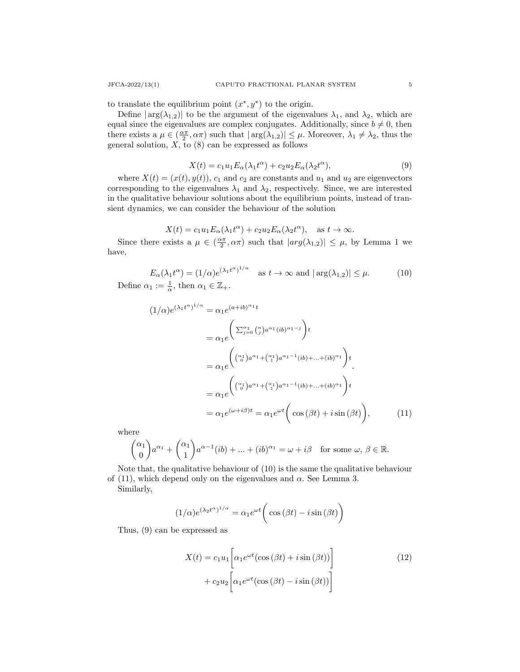to translate the equilibrium point  $(x^*, y^*)$  to the origin.

Define  $|\arg(\lambda_{1,2})|$  to be the argument of the eigenvalues  $\lambda_1$ , and  $\lambda_2$ , which are equal since the eigenvalues are complex conjugates. Additionally, since  $b \neq 0$ , then there exists a  $\mu \in (\frac{\alpha \pi}{2}, \alpha \pi)$  such that  $|\arg(\lambda_{1,2})| \leq \mu$ . Moreover,  $\lambda_1 \neq \lambda_2$ , thus the general solution,  $X$ , to  $(8)$  can be expressed as follows

$$
X(t) = c_1 u_1 E_\alpha(\lambda_1 t^\alpha) + c_2 u_2 E_\alpha(\lambda_2 t^\alpha), \tag{9}
$$

where  $X(t) = (x(t), y(t)), c_1$  and  $c_2$  are constants and  $u_1$  and  $u_2$  are eigenvectors corresponding to the eigenvalues  $\lambda_1$  and  $\lambda_2$ , respectively. Since, we are interested in the qualitative behaviour solutions about the equilibrium points, instead of transient dynamics, we can consider the behaviour of the solution

$$
X(t) = c_1 u_1 E_\alpha(\lambda_1 t^\alpha) + c_2 u_2 E_\alpha(\lambda_2 t^\alpha), \text{ as } t \to \infty.
$$

Since there exists a  $\mu \in (\frac{\alpha \pi}{2}, \alpha \pi)$  such that  $|arg(\lambda_{1,2})| \leq \mu$ , by Lemma 1 we have,

$$
E_{\alpha}(\lambda_1 t^{\alpha}) = (1/\alpha)e^{(\lambda_1 t^{\alpha})^{1/\alpha}} \quad \text{as } t \to \infty \text{ and } |\arg(\lambda_{1,2})| \le \mu. \tag{10}
$$
  
Define  $\alpha_1 := \frac{1}{\alpha}$ , then  $\alpha_1 \in \mathbb{Z}_+$ .

$$
(1/\alpha)e^{(\lambda_1t^{\alpha})^{1/\alpha}} = \alpha_1e^{(a+ib)^{\alpha_1}t}
$$

$$
= \alpha_1 e^{\left(\sum_{j=0}^{\alpha_1} {n \choose j} a^{\alpha_1} (ib)^{\alpha_1 - j}\right)t}
$$
  
\n
$$
= \alpha_1 e^{\left((\alpha_1)^{a^{\alpha_1} + (\alpha_1)^{a^{\alpha_1 - 1}} (ib) + \dots + (ib)^{\alpha_1}\right)t}
$$
  
\n
$$
= \alpha_1 e^{\left((\alpha_1)^{a^{\alpha_1} + (\alpha_1)^{a^{\alpha_1 - 1}} (ib) + \dots + (ib)^{\alpha_1}\right)t}
$$
  
\n
$$
= \alpha_1 e^{(\omega + i\beta)t} = \alpha_1 e^{\omega t} \left(\cos(\beta t) + i\sin(\beta t)\right), \tag{11}
$$

where

$$
\binom{\alpha_1}{0} a^{\alpha_1} + \binom{\alpha_1}{1} a^{\alpha - 1}(ib) + \dots + (ib)^{\alpha_1} = \omega + i\beta \text{ for some } \omega, \beta \in \mathbb{R}.
$$

Note that, the qualitative behaviour of (10) is the same the qualitative behaviour of (11), which depend only on the eigenvalues and  $\alpha$ . See Lemma 3. Similarly,

$$
(1/\alpha)e^{(\lambda_2 t^{\alpha})^{1/\alpha}} = \alpha_1 e^{\omega t} \bigg(\cos(\beta t) - i\sin(\beta t)\bigg)
$$

Thus, (9) can be expressed as

$$
X(t) = c_1 u_1 \left[ \alpha_1 e^{\omega t} (\cos(\beta t) + i \sin(\beta t)) \right]
$$
  
+ 
$$
c_2 u_2 \left[ \alpha_1 e^{\omega t} (\cos(\beta t) - i \sin(\beta t)) \right]
$$
 (12)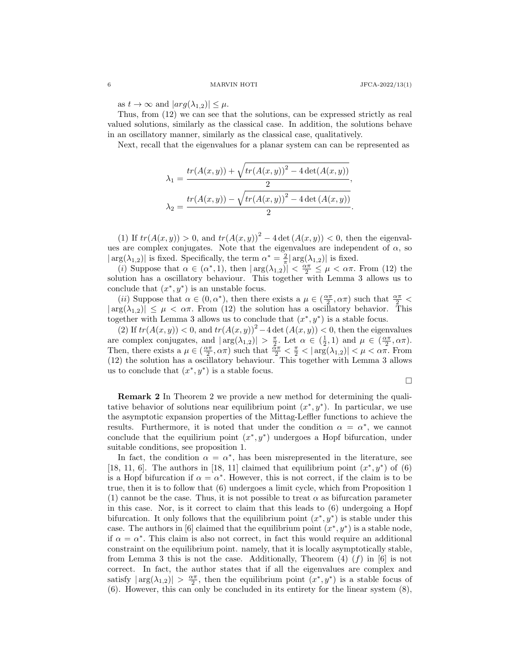as  $t \to \infty$  and  $|arg(\lambda_{1,2})| \leq \mu$ .

Thus, from (12) we can see that the solutions, can be expressed strictly as real valued solutions, similarly as the classical case. In addition, the solutions behave in an oscillatory manner, similarly as the classical case, qualitatively.

Next, recall that the eigenvalues for a planar system can can be represented as

$$
\lambda_1 = \frac{tr(A(x, y)) + \sqrt{tr(A(x, y))^{2} - 4 \det(A(x, y))}}{2},
$$
  

$$
\lambda_2 = \frac{tr(A(x, y)) - \sqrt{tr(A(x, y))^{2} - 4 \det(A(x, y))}}{2}.
$$

(1) If  $tr(A(x, y)) > 0$ , and  $tr(A(x, y))^{2} - 4 \det(A(x, y)) < 0$ , then the eigenvalues are complex conjugates. Note that the eigenvalues are independent of  $\alpha$ , so  $|\arg(\lambda_{1,2})|$  is fixed. Specifically, the term  $\alpha^* = \frac{2}{\pi} |\arg(\lambda_{1,2})|$  is fixed.

(*i*) Suppose that  $\alpha \in (\alpha^*, 1)$ , then  $|\arg(\lambda_{1,2})| < \frac{\alpha \pi}{2} \leq \mu < \alpha \pi$ . From (12) the solution has a oscillatory behaviour. This together with Lemma 3 allows us to conclude that  $(x^*, y^*)$  is an unstable focus.

(*ii*) Suppose that  $\alpha \in (0, \alpha^*)$ , then there exists a  $\mu \in (\frac{\alpha \pi}{2}, \alpha \pi)$  such that  $\frac{\alpha \pi}{2}$  $|\arg(\lambda_{1,2})| \leq \mu < \alpha \pi$ . From (12) the solution has a oscillatory behavior. This together with Lemma 3 allows us to conclude that  $(x^*, y^*)$  is a stable focus.

(2) If  $tr(A(x, y)) < 0$ , and  $tr(A(x, y))^{2} - 4 \det(A(x, y)) < 0$ , then the eigenvalues are complex conjugates, and  $|\arg(\lambda_{1,2})| > \frac{\pi}{2}$ . Let  $\alpha \in (\frac{1}{2}, 1)$  and  $\mu \in (\frac{\alpha \pi}{2}, \alpha \pi)$ . Then, there exists a  $\mu \in (\frac{\alpha \pi}{2}, \alpha \pi)$  such that  $\frac{\tilde{\alpha} \pi}{2} < \frac{\pi}{2} < |\arg(\lambda_{1,2})| < \mu < \alpha \pi$ . From (12) the solution has a oscillatory behaviour. This together with Lemma 3 allows us to conclude that  $(x^*, y^*)$  is a stable focus.

$$
\Box
$$

**Remark 2** In Theorem 2 we provide a new method for determining the qualitative behavior of solutions near equilibrium point  $(x^*, y^*)$ . In particular, we use the asymptotic expansion properties of the Mittag-Leffler functions to achieve the results. Furthermore, it is noted that under the condition  $\alpha = \alpha^*$ , we cannot conclude that the equilirium point  $(x^*, y^*)$  undergoes a Hopf bifurcation, under suitable conditions, see proposition 1.

In fact, the condition  $\alpha = \alpha^*$ , has been misrepresented in the literature, see [18, 11, 6]. The authors in [18, 11] claimed that equilibrium point  $(x^*, y^*)$  of (6) is a Hopf bifurcation if  $\alpha = \alpha^*$ . However, this is not correct, if the claim is to be true, then it is to follow that (6) undergoes a limit cycle, which from Proposition 1 (1) cannot be the case. Thus, it is not possible to treat  $\alpha$  as bifurcation parameter in this case. Nor, is it correct to claim that this leads to (6) undergoing a Hopf bifurcation. It only follows that the equilibrium point  $(x^*, y^*)$  is stable under this case. The authors in [6] claimed that the equilibrium point  $(x^*, y^*)$  is a stable node, if  $\alpha = \alpha^*$ . This claim is also not correct, in fact this would require an additional constraint on the equilibrium point. namely, that it is locally asymptotically stable, from Lemma 3 this is not the case. Additionally, Theorem  $(4)$   $(f)$  in  $[6]$  is not correct. In fact, the author states that if all the eigenvalues are complex and satisfy  $|\arg(\lambda_{1,2})| > \frac{\alpha \pi}{2}$ , then the equilibrium point  $(x^*, y^*)$  is a stable focus of (6). However, this can only be concluded in its entirety for the linear system (8),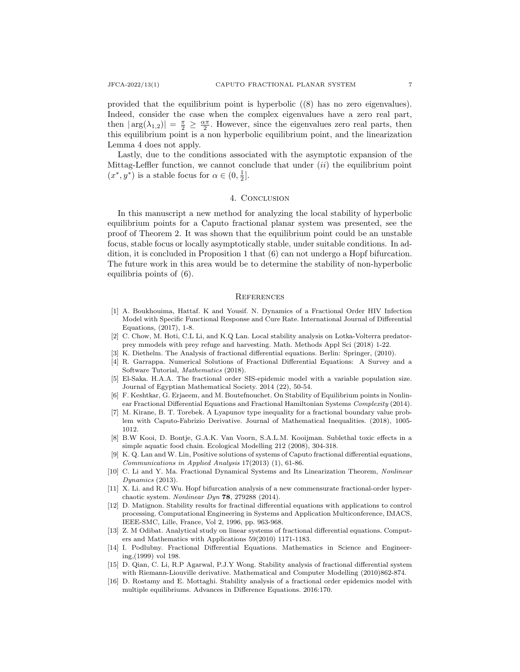provided that the equilibrium point is hyperbolic ((8) has no zero eigenvalues). Indeed, consider the case when the complex eigenvalues have a zero real part, then  $|\arg(\lambda_{1,2})| = \frac{\pi}{2} \geq \frac{\alpha \pi}{2}$ . However, since the eigenvalues zero real parts, then this equilibrium point is a non hyperbolic equilibrium point, and the linearization Lemma 4 does not apply.

Lastly, due to the conditions associated with the asymptotic expansion of the Mittag-Leffler function, we cannot conclude that under (*ii*) the equilibrium point  $(x^*, y^*)$  is a stable focus for  $\alpha \in (0, \frac{1}{2}]$ .

# 4. CONCLUSION

In this manuscript a new method for analyzing the local stability of hyperbolic equilibrium points for a Caputo fractional planar system was presented, see the proof of Theorem 2. It was shown that the equilibrium point could be an unstable focus, stable focus or locally asymptotically stable, under suitable conditions. In addition, it is concluded in Proposition 1 that (6) can not undergo a Hopf bifurcation. The future work in this area would be to determine the stability of non-hyperbolic equilibria points of (6).

#### **REFERENCES**

- [1] A. Boukhouima, Hattaf. K and Yousif. N. Dynamics of a Fractional Order HIV Infection Model with Specific Functional Response and Cure Rate. International Journal of Differential Equations, (2017), 1-8.
- [2] C. Chow, M. Hoti, C.L Li, and K.Q Lan. Local stability analysis on Lotka-Volterra predatorprey mmodels with prey refuge and harvesting. Math. Methods Appl Sci (2018) 1-22.
- [3] K. Diethelm. The Analysis of fractional differential equations. Berlin: Springer, (2010).
- [4] R. Garrappa. Numerical Solutions of Fractional Differential Equations: A Survey and a Software Tutorial, *Mathematics* (2018).
- [5] El-Saka. H.A.A. The fractional order SIS-epidemic model with a variable population size. Journal of Egyptian Mathematical Society. 2014 (22), 50-54.
- [6] F. Keshtkar, G. Erjaeem, and M. Boutefnouchet. On Stability of Equilibrium points in Nonlinear Fractional Differential Equations and Fractional Hamiltonian Systems *Complexity* (2014).
- [7] M. Kirane, B. T. Torebek. A Lyapunov type inequality for a fractional boundary value problem with Caputo-Fabrizio Derivative. Journal of Mathematical Inequalities. (2018), 1005- 1012.
- [8] B.W Kooi, D. Bontje, G.A.K. Van Voorn, S.A.L.M. Kooijman. Sublethal toxic effects in a simple aquatic food chain. Ecological Modelling 212 (2008), 304-318.
- [9] K. Q. Lan and W. Lin, Positive solutions of systems of Caputo fractional differential equations, *Communications in Applied Analysis* 17(2013) (1), 61-86.
- [10] C. Li and Y. Ma. Fractional Dynamical Systems and Its Linearization Theorem, *Nonlinear Dynamics* (2013).
- [11] X. Li. and R.C Wu. Hopf bifurcation analysis of a new commensurate fractional-order hyperchaotic system. *Nonlinear Dyn* **78**, 279288 (2014).
- [12] D. Matignon. Stability results for fractinal differential equations with applications to control processing. Computational Engineering in Systems and Application Multiconference, IMACS, IEEE-SMC, Lille, France, Vol 2, 1996, pp. 963-968.
- [13] Z. M Odibat. Analytical study on linear systems of fractional differential equations. Computers and Mathematics with Applications 59(2010) 1171-1183.
- [14] I. Podlubny. Fractional Differential Equations. Mathematics in Science and Engineering,(1999) vol 198.
- [15] D. Qian, C. Li, R.P Agarwal, P.J.Y Wong. Stability analysis of fractional differential system with Riemann-Liouville derivative. Mathematical and Computer Modelling (2010)862-874.
- [16] D. Rostamy and E. Mottaghi. Stability analysis of a fractional order epidemics model with multiple equilibriums. Advances in Difference Equations. 2016:170.